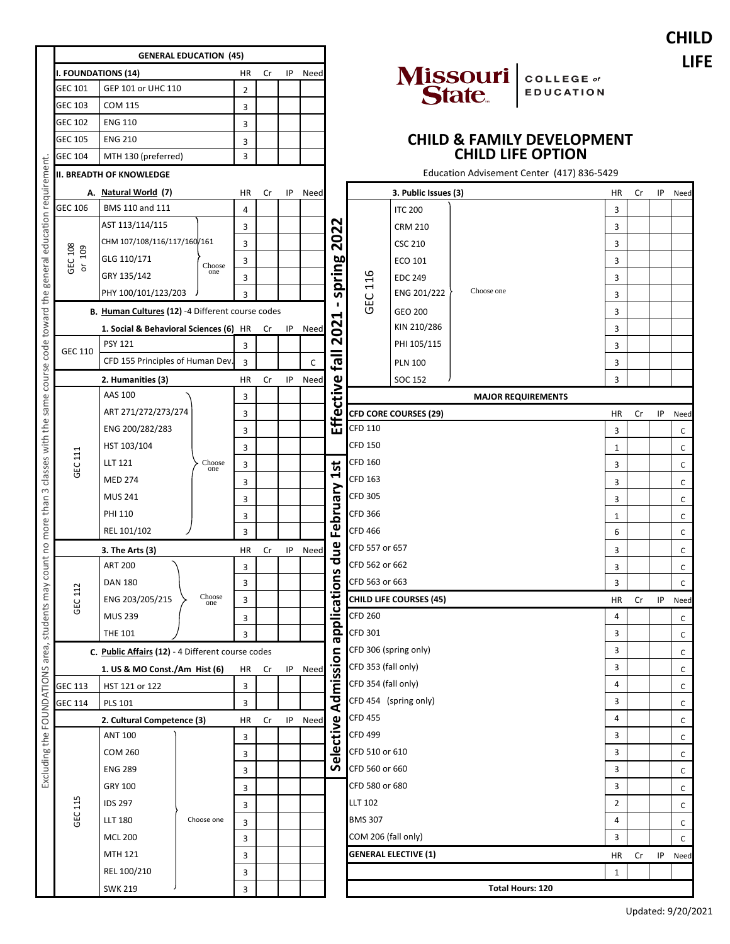|                                                                                                                                                          |                                                  |                  |    |    |      |                         |                                            |                                |            |                                            |                |    |    | <b>CHILD</b> |
|----------------------------------------------------------------------------------------------------------------------------------------------------------|--------------------------------------------------|------------------|----|----|------|-------------------------|--------------------------------------------|--------------------------------|------------|--------------------------------------------|----------------|----|----|--------------|
|                                                                                                                                                          | <b>GENERAL EDUCATION (45)</b>                    |                  |    |    |      |                         |                                            |                                |            |                                            |                |    |    | <b>LIFE</b>  |
|                                                                                                                                                          | <b>I. FOUNDATIONS (14)</b>                       | HR               | Cr | IP | Need |                         |                                            |                                |            | <b>COLLEGE</b> of                          |                |    |    |              |
| <b>GEC 101</b>                                                                                                                                           | GEP 101 or UHC 110                               | 2                |    |    |      |                         |                                            |                                | Missouri   | <b>EDUCATION</b>                           |                |    |    |              |
| <b>GEC 103</b>                                                                                                                                           | <b>COM 115</b>                                   | 3                |    |    |      |                         |                                            |                                |            |                                            |                |    |    |              |
| <b>GEC 102</b>                                                                                                                                           | <b>ENG 110</b>                                   | 3                |    |    |      |                         |                                            |                                |            |                                            |                |    |    |              |
| <b>GEC 105</b>                                                                                                                                           | <b>ENG 210</b>                                   | 3                |    |    |      |                         |                                            |                                |            | <b>CHILD &amp; FAMILY DEVELOPMENT</b>      |                |    |    |              |
| <b>GEC 104</b>                                                                                                                                           | MTH 130 (preferred)                              | 3                |    |    |      |                         |                                            |                                |            | <b>CHILD LIFE OPTION</b>                   |                |    |    |              |
|                                                                                                                                                          | <b>II. BREADTH OF KNOWLEDGE</b>                  |                  |    |    |      |                         |                                            |                                |            | Education Advisement Center (417) 836-5429 |                |    |    |              |
|                                                                                                                                                          | A. Natural World (7)                             | HR               | Cr | IP | Need |                         |                                            | 3. Public Issues (3)           |            |                                            | ΗR             | Cr | IP | Need         |
| <b>GEC 106</b>                                                                                                                                           | BMS 110 and 111                                  | 4                |    |    |      |                         |                                            | <b>ITC 200</b>                 |            |                                            | 3              |    |    |              |
|                                                                                                                                                          | AST 113/114/115                                  | 3                |    |    |      | 2022<br>spring<br>116   |                                            | <b>CRM 210</b>                 |            |                                            | 3              |    |    |              |
|                                                                                                                                                          | CHM 107/108/116/117/160/161                      | 3                |    |    |      |                         |                                            | <b>CSC 210</b>                 |            |                                            | 3              |    |    |              |
| GEC 108<br>109<br>$\overleftarrow{\sigma}$                                                                                                               | GLG 110/171                                      | 3<br>Choose      |    |    |      |                         | ECO 101                                    |                                |            | 3                                          |                |    |    |              |
|                                                                                                                                                          | GRY 135/142                                      | one<br>3         |    |    |      |                         | <b>EDC 249</b>                             |                                |            | 3                                          |                |    |    |              |
|                                                                                                                                                          | PHY 100/101/123/203                              | 3                |    |    |      |                         |                                            | ENG 201/222                    | Choose one |                                            | 3              |    |    |              |
|                                                                                                                                                          | B. Human Cultures (12) -4 Different course codes |                  |    |    |      | Н                       | <b>GEC</b>                                 | GEO 200                        |            |                                            | 3              |    |    |              |
|                                                                                                                                                          | 1. Social & Behavioral Sciences (6) HR           |                  | Cr | IP | Need | 202                     |                                            | KIN 210/286                    |            |                                            | 3              |    |    |              |
| GEC 110                                                                                                                                                  | <b>PSY 121</b>                                   | 3                |    |    |      |                         |                                            | PHI 105/115                    |            |                                            | 3              |    |    |              |
|                                                                                                                                                          | CFD 155 Principles of Human Dev.                 | 3                |    |    | C    | $\overline{\mathbf{e}}$ |                                            | <b>PLN 100</b>                 |            |                                            | 3              |    |    |              |
|                                                                                                                                                          | 2. Humanities (3)                                | HR               | Cr | ΙP | Need |                         |                                            | SOC 152                        |            |                                            | 3              |    |    |              |
| Excluding the FOUNDATIONS area, students may count no more than 3 classes with the same course code toward the general education requirement.<br>GEC 111 | AAS 100                                          | 3                |    |    |      | ctive                   |                                            |                                |            | <b>MAJOR REQUIREMENTS</b>                  |                |    |    |              |
|                                                                                                                                                          | ART 271/272/273/274                              | 3                |    |    |      |                         |                                            |                                |            |                                            | HR             | Cr | ΙP | Need         |
|                                                                                                                                                          | ENG 200/282/283                                  | 3                |    |    |      |                         | EL CFD COR<br><b>CFD CORE COURSES (29)</b> |                                |            |                                            | 3              |    |    | C            |
|                                                                                                                                                          | HST 103/104                                      |                  |    |    |      |                         | <b>CFD 150</b>                             |                                |            |                                            | 1              |    |    | С            |
|                                                                                                                                                          | <b>LLT 121</b>                                   | 3<br>Choose<br>3 |    |    |      |                         | <b>CFD 160</b>                             |                                |            |                                            | 3              |    |    | C            |
|                                                                                                                                                          | <b>MED 274</b>                                   | one              |    |    |      | 1st                     | <b>CFD 163</b>                             |                                |            |                                            |                |    |    |              |
|                                                                                                                                                          | <b>MUS 241</b>                                   | 3                |    |    |      |                         | <b>CFD 305</b>                             |                                |            |                                            | 3              |    |    | C            |
|                                                                                                                                                          | PHI 110                                          | 3                |    |    |      | February                | <b>CFD 366</b>                             |                                |            |                                            | 3              |    |    | C            |
|                                                                                                                                                          |                                                  | 3                |    |    |      |                         | 1<br><b>CFD 466</b>                        |                                |            |                                            |                |    | C  |              |
|                                                                                                                                                          | REL 101/102                                      | 3                |    |    |      |                         | CFD 557 or 657                             |                                |            |                                            | 6              |    |    | C            |
|                                                                                                                                                          | 3. The Arts (3)<br>ヽ                             | HR               | Cr | IP | Need | due                     | CFD 562 or 662                             |                                |            |                                            | 3              |    |    | C            |
|                                                                                                                                                          | <b>ART 200</b>                                   | 3                |    |    |      |                         | CFD 563 or 663                             |                                |            |                                            | 3              |    |    | C            |
| GEC 112                                                                                                                                                  | <b>DAN 180</b>                                   | 3<br>Choose      |    |    |      |                         |                                            |                                |            |                                            | 3              |    |    | C            |
|                                                                                                                                                          | ENG 203/205/215                                  | 3<br>one         |    |    |      | pplications             |                                            | <b>CHILD LIFE COURSES (45)</b> |            |                                            | HR             | Cr | IP | Need         |
|                                                                                                                                                          | <b>MUS 239</b>                                   | 3                |    |    |      |                         | <b>CFD 260</b>                             |                                |            |                                            | 4              |    |    | С            |
|                                                                                                                                                          | <b>THE 101</b>                                   | 3                |    |    |      | æ                       | <b>CFD 301</b>                             |                                |            |                                            | 3              |    |    | C            |
| C. Public Affairs (12) - 4 Different course codes                                                                                                        |                                                  |                  |    |    |      |                         | CFD 306 (spring only)                      |                                |            |                                            | 3              |    |    | C            |
|                                                                                                                                                          | 1. US & MO Const./Am Hist (6)                    | HR               | Cr | IP | Need | Admission               | CFD 353 (fall only)                        |                                |            |                                            | 3              |    |    | C            |
| <b>GEC 113</b>                                                                                                                                           | HST 121 or 122                                   | 3                |    |    |      |                         | CFD 354 (fall only)                        |                                |            |                                            | 4              |    |    | C            |
| <b>GEC 114</b>                                                                                                                                           | <b>PLS 101</b>                                   | 3                |    |    |      |                         |                                            | CFD 454 (spring only)          |            |                                            | 3              |    |    | С            |
|                                                                                                                                                          | 2. Cultural Competence (3)                       | HR               | Cr | IP | Need |                         | <b>CFD 455</b>                             |                                |            |                                            | 4              |    |    | C            |
| GEC 115                                                                                                                                                  | <b>ANT 100</b>                                   | 3                |    |    |      | elective                | <b>CFD 499</b>                             |                                |            |                                            | 3              |    |    | С            |
|                                                                                                                                                          | <b>COM 260</b>                                   | 3                |    |    |      |                         | CFD 510 or 610                             |                                |            |                                            | 3              |    |    | C            |
|                                                                                                                                                          | <b>ENG 289</b>                                   | 3                |    |    |      | S                       | CFD 560 or 660                             |                                |            |                                            | 3              |    |    | C            |
|                                                                                                                                                          | GRY 100                                          | 3                |    |    |      |                         | CFD 580 or 680                             |                                |            |                                            | 3              |    |    | C            |
|                                                                                                                                                          | <b>IDS 297</b>                                   | 3                |    |    |      |                         | <b>LLT 102</b>                             |                                |            |                                            | $\overline{2}$ |    |    | С            |
|                                                                                                                                                          | Choose one<br><b>LLT 180</b>                     | 3                |    |    |      |                         | <b>BMS 307</b>                             |                                |            |                                            | 4              |    |    | C            |
|                                                                                                                                                          | <b>MCL 200</b>                                   | 3                |    |    |      |                         | COM 206 (fall only)                        |                                |            |                                            | 3              |    |    | C            |
|                                                                                                                                                          | MTH 121                                          | 3                |    |    |      |                         |                                            | <b>GENERAL ELECTIVE (1)</b>    |            |                                            | HR             | Cr | IP | Need         |
|                                                                                                                                                          | REL 100/210                                      | 3                |    |    |      |                         |                                            |                                |            |                                            | 1              |    |    |              |
|                                                                                                                                                          | <b>SWK 219</b>                                   | 3                |    |    |      |                         |                                            |                                |            | <b>Total Hours: 120</b>                    |                |    |    |              |